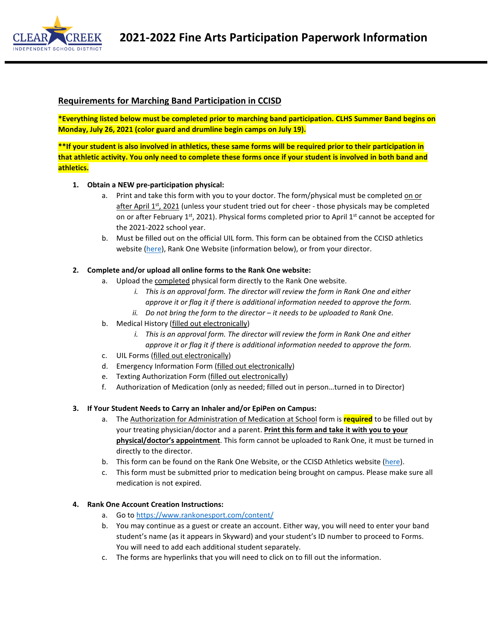

### **Requirements for Marching Band Participation in CCISD**

**\*Everything listed below must be completed prior to marching band participation. CLHS Summer Band begins on Monday, July 26, 2021 (color guard and drumline begin camps on July 19).**

**\*\*If your student is also involved in athletics, these same forms will be required prior to their participation in that athletic activity. You only need to complete these forms once if your student is involved in both band and athletics.**

#### **1. Obtain a NEW pre-participation physical:**

- a. Print and take this form with you to your doctor. The form/physical must be completed on or after April 1<sup>st</sup>, 2021 (unless your student tried out for cheer - those physicals may be completed on or after February 1<sup>st</sup>, 2021). Physical forms completed prior to April 1<sup>st</sup> cannot be accepted for the 2021-2022 school year.
- b. Must be filled out on the official UIL form. This form can be obtained from the CCISD athletics website (here), Rank One Website (information below), or from your director.

#### **2. Complete and/or upload all online forms to the Rank One website:**

- a. Upload the completed physical form directly to the Rank One website.
	- *i. This is an approval form. The director will review the form in Rank One and either approve it or flag it if there is additional information needed to approve the form.*
	- *ii. Do not bring the form to the director – it needs to be uploaded to Rank One.*
- b. Medical History (filled out electronically)
	- *i. This is an approval form. The director will review the form in Rank One and either approve it or flag it if there is additional information needed to approve the form.*
- c. UIL Forms (filled out electronically)
- d. Emergency Information Form (filled out electronically)
- e. Texting Authorization Form (filled out electronically)
- f. Authorization of Medication (only as needed; filled out in person…turned in to Director)

#### **3. If Your Student Needs to Carry an Inhaler and/or EpiPen on Campus:**

- a. The Authorization for Administration of Medication at School form is **required** to be filled out by your treating physician/doctor and a parent. **Print this form and take it with you to your physical/doctor's appointment**. This form cannot be uploaded to Rank One, it must be turned in directly to the director.
- b. This form can be found on the Rank One Website, or the CCISD Athletics website (here).
- c. This form must be submitted prior to medication being brought on campus. Please make sure all medication is not expired.

#### **4. Rank One Account Creation Instructions:**

- a. Go to https://www.rankonesport.com/content/
- b. You may continue as a guest or create an account. Either way, you will need to enter your band student's name (as it appears in Skyward) and your student's ID number to proceed to Forms. You will need to add each additional student separately.
- c. The forms are hyperlinks that you will need to click on to fill out the information.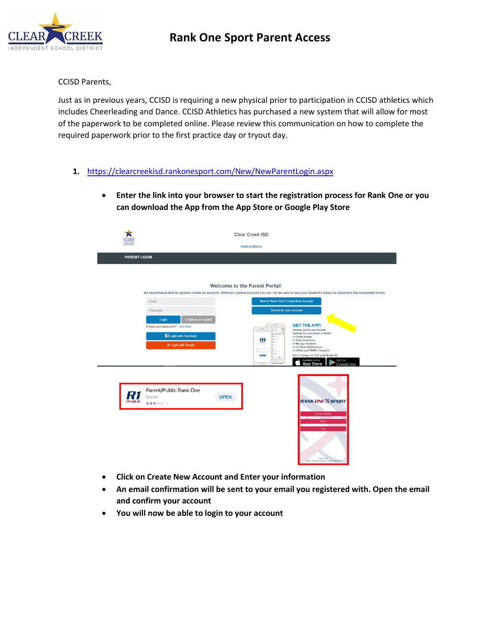# **Rank One Sport Parent Access**



CCISD Parents,

Just as in previous years, CCISD is requiring a new physical prior to participation in CCISD athletics which includes Cheerleading and Dance. CCISD Athletics has purchased a new system that will allow for most of the paperwork to be completed online. Please review this communication on how to complete the required paperwork prior to the first practice day or tryout day.

- **1.** https://clearcreekisd.rankonesport.com/New/NewParentLogin.aspx
	- **Enter the link into your browser to start the registration process for Rank One or you can download the App from the App Store or Google Play Store**

| :CISI<br><b>LEAR CREE</b><br>NORPENDEN | <b>Clear Creek ISD</b><br><b>Instructions</b>                                                                                                                                                                          |                                                                                                                                                                                                                                                                                                                                                                                                                                                                                                                                                                                                                                                                                          |  |  |  |  |  |
|----------------------------------------|------------------------------------------------------------------------------------------------------------------------------------------------------------------------------------------------------------------------|------------------------------------------------------------------------------------------------------------------------------------------------------------------------------------------------------------------------------------------------------------------------------------------------------------------------------------------------------------------------------------------------------------------------------------------------------------------------------------------------------------------------------------------------------------------------------------------------------------------------------------------------------------------------------------------|--|--|--|--|--|
| <b>PARENT LOGIN</b>                    |                                                                                                                                                                                                                        |                                                                                                                                                                                                                                                                                                                                                                                                                                                                                                                                                                                                                                                                                          |  |  |  |  |  |
| <b>PUBLIC</b>                          | Email<br>Password<br>Continue as a guest<br>Login<br>Forgot your password? Click here<br><sup>1</sup> Login with Facebook<br><b>g* Login with Google</b><br>Parent/Public Rank One<br>Sports<br><b>OPEN</b><br>★★★☆☆ 7 | <b>Welcome to the Parent Portal!</b><br>We recommend that all parents create an account. Without a parent account you will not be able to see your student's status or download the completed forms.<br>New to Rank One? Create New Account<br>Search for your account<br><b>GET THE APP!</b><br>$\cdot$ $-$<br>Parents, get all your favorite<br>features on your phone or tablet!<br>✔ Online Forms<br>R1<br>✔ Team Schedules<br>✔ Manage Students<br>$\checkmark$ Get Push Notifications<br>✔ HIPAA and FERPA Complaint<br>Get it today on iOS and Android<br><b>April</b><br>Available on the<br>Get it on<br><b>App Store</b><br>Google play<br>$\sqrt{2}$<br><b>RANK ONE SPORT</b> |  |  |  |  |  |
|                                        |                                                                                                                                                                                                                        | <b>Current Student</b><br>Parent<br>Earl<br>Version 2.0 lb<br>@ 2007 - 2019 Rank One Sport, AT Rights Reserved                                                                                                                                                                                                                                                                                                                                                                                                                                                                                                                                                                           |  |  |  |  |  |

- **Click on Create New Account and Enter your information**
- **An email confirmation will be sent to your email you registered with. Open the email and confirm your account**
- **You will now be able to login to your account**